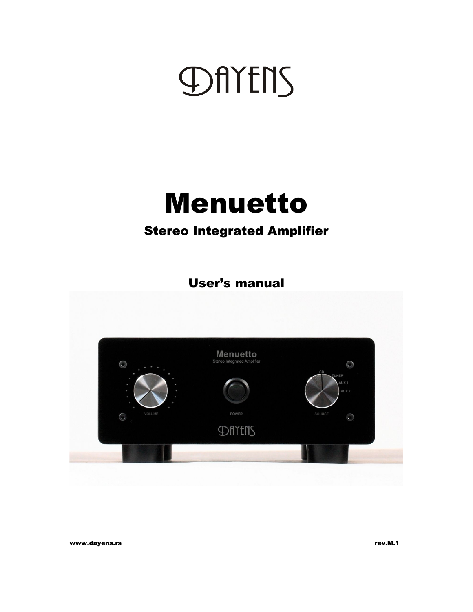# DAYENS

## Menuetto

### Stereo Integrated Amplifier

User's manual



www.dayens.rs rev.M.1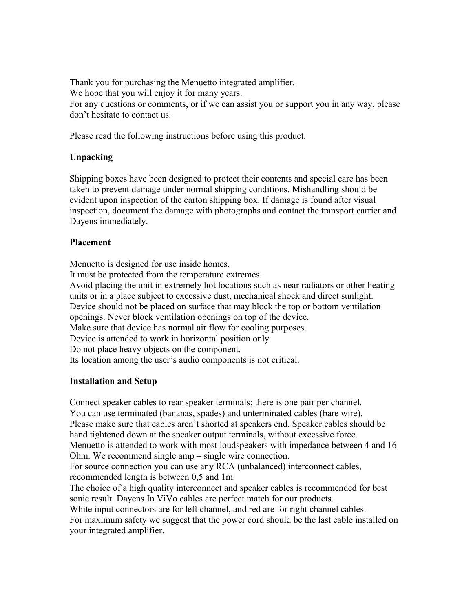Thank you for purchasing the Menuetto integrated amplifier. We hope that you will enjoy it for many years. For any questions or comments, or if we can assist you or support you in any way, please don't hesitate to contact us.

Please read the following instructions before using this product.

#### **Unpacking**

Shipping boxes have been designed to protect their contents and special care has been taken to prevent damage under normal shipping conditions. Mishandling should be evident upon inspection of the carton shipping box. If damage is found after visual inspection, document the damage with photographs and contact the transport carrier and Dayens immediately.

#### **Placement**

Menuetto is designed for use inside homes.

It must be protected from the temperature extremes.

Avoid placing the unit in extremely hot locations such as near radiators or other heating units or in a place subject to excessive dust, mechanical shock and direct sunlight. Device should not be placed on surface that may block the top or bottom ventilation openings. Never block ventilation openings on top of the device. Make sure that device has normal air flow for cooling purposes. Device is attended to work in horizontal position only.

Do not place heavy objects on the component.

Its location among the user's audio components is not critical.

#### **Installation and Setup**

Connect speaker cables to rear speaker terminals; there is one pair per channel. You can use terminated (bananas, spades) and unterminated cables (bare wire). Please make sure that cables aren't shorted at speakers end. Speaker cables should be hand tightened down at the speaker output terminals, without excessive force. Menuetto is attended to work with most loudspeakers with impedance between 4 and 16 Ohm. We recommend single amp – single wire connection. For source connection you can use any RCA (unbalanced) interconnect cables, recommended length is between 0,5 and 1m. The choice of a high quality interconnect and speaker cables is recommended for best sonic result. Dayens In ViVo cables are perfect match for our products. White input connectors are for left channel, and red are for right channel cables. For maximum safety we suggest that the power cord should be the last cable installed on your integrated amplifier.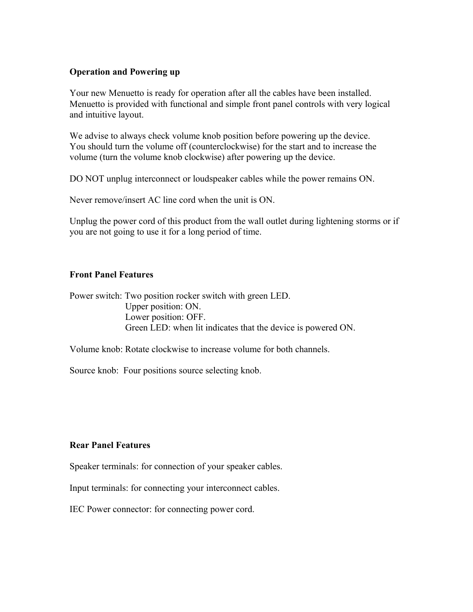#### **Operation and Powering up**

Your new Menuetto is ready for operation after all the cables have been installed. Menuetto is provided with functional and simple front panel controls with very logical and intuitive layout.

We advise to always check volume knob position before powering up the device. You should turn the volume off (counterclockwise) for the start and to increase the volume (turn the volume knob clockwise) after powering up the device.

DO NOT unplug interconnect or loudspeaker cables while the power remains ON.

Never remove/insert AC line cord when the unit is ON.

Unplug the power cord of this product from the wall outlet during lightening storms or if you are not going to use it for a long period of time.

#### **Front Panel Features**

Power switch: Two position rocker switch with green LED. Upper position: ON. Lower position: OFF. Green LED: when lit indicates that the device is powered ON.

Volume knob: Rotate clockwise to increase volume for both channels.

Source knob: Four positions source selecting knob.

#### **Rear Panel Features**

Speaker terminals: for connection of your speaker cables.

Input terminals: for connecting your interconnect cables.

IEC Power connector: for connecting power cord.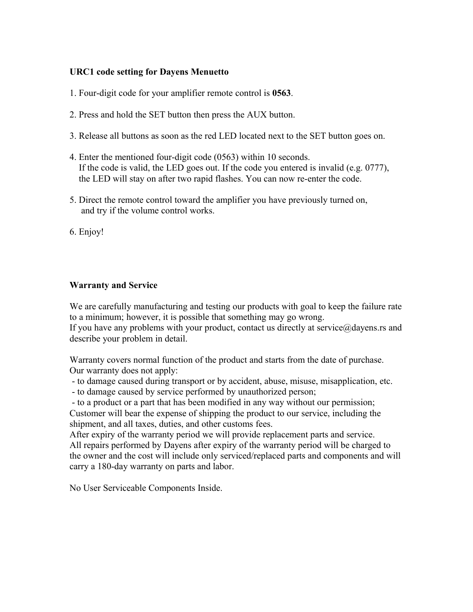#### **URC1 code setting for Dayens Menuetto**

- 1. Four-digit code for your amplifier remote control is **0563**.
- 2. Press and hold the SET button then press the AUX button.
- 3. Release all buttons as soon as the red LED located next to the SET button goes on.
- 4. Enter the mentioned four-digit code (0563) within 10 seconds. If the code is valid, the LED goes out. If the code you entered is invalid (e.g. 0777), the LED will stay on after two rapid flashes. You can now re-enter the code.
- 5. Direct the remote control toward the amplifier you have previously turned on, and try if the volume control works.
- 6. Enjoy!

#### **Warranty and Service**

We are carefully manufacturing and testing our products with goal to keep the failure rate to a minimum; however, it is possible that something may go wrong.

If you have any problems with your product, contact us directly at service $@$  dayens.rs and describe your problem in detail.

Warranty covers normal function of the product and starts from the date of purchase. Our warranty does not apply:

- to damage caused during transport or by accident, abuse, misuse, misapplication, etc.
- to damage caused by service performed by unauthorized person;

- to a product or a part that has been modified in any way without our permission;

Customer will bear the expense of shipping the product to our service, including the shipment, and all taxes, duties, and other customs fees.

After expiry of the warranty period we will provide replacement parts and service. All repairs performed by Dayens after expiry of the warranty period will be charged to the owner and the cost will include only serviced/replaced parts and components and will carry a 180-day warranty on parts and labor.

No User Serviceable Components Inside.